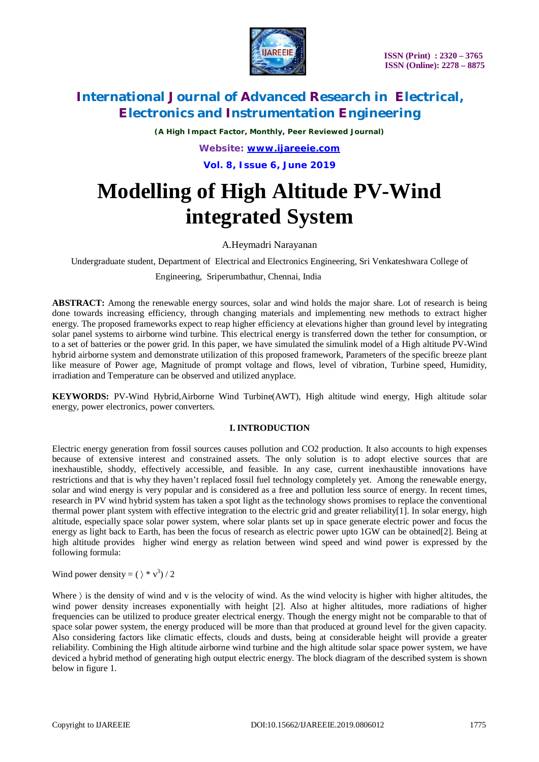

*(A High Impact Factor, Monthly, Peer Reviewed Journal)*

*Website: [www.ijareeie.com](http://www.ijareeie.com)*

**Vol. 8, Issue 6, June 2019**

# **Modelling of High Altitude PV-Wind integrated System**

A.Heymadri Narayanan

Undergraduate student, Department of Electrical and Electronics Engineering, Sri Venkateshwara College of

Engineering, Sriperumbathur, Chennai, India

**ABSTRACT:** Among the renewable energy sources, solar and wind holds the major share. Lot of research is being done towards increasing efficiency, through changing materials and implementing new methods to extract higher energy. The proposed frameworks expect to reap higher efficiency at elevations higher than ground level by integrating solar panel systems to airborne wind turbine. This electrical energy is transferred down the tether for consumption, or to a set of batteries or the power grid. In this paper, we have simulated the simulink model of a High altitude PV-Wind hybrid airborne system and demonstrate utilization of this proposed framework, Parameters of the specific breeze plant like measure of Power age, Magnitude of prompt voltage and flows, level of vibration, Turbine speed, Humidity, irradiation and Temperature can be observed and utilized anyplace.

**KEYWORDS:** PV-Wind Hybrid,Airborne Wind Turbine(AWT), High altitude wind energy, High altitude solar energy, power electronics, power converters.

### **I. INTRODUCTION**

Electric energy generation from fossil sources causes pollution and CO2 production. It also accounts to high expenses because of extensive interest and constrained assets. The only solution is to adopt elective sources that are inexhaustible, shoddy, effectively accessible, and feasible. In any case, current inexhaustible innovations have restrictions and that is why they haven't replaced fossil fuel technology completely yet. Among the renewable energy, solar and wind energy is very popular and is considered as a free and pollution less source of energy. In recent times, research in PV wind hybrid system has taken a spot light as the technology shows promises to replace the conventional thermal power plant system with effective integration to the electric grid and greater reliability[1]. In solar energy, high altitude, especially space solar power system, where solar plants set up in space generate electric power and focus the energy as light back to Earth, has been the focus of research as electric power upto 1GW can be obtained[2]. Being at high altitude provides higher wind energy as relation between wind speed and wind power is expressed by the following formula:

Wind power density =  $(\rangle * v^3)/2$ 

Where  $\rangle$  is the density of wind and v is the velocity of wind. As the wind velocity is higher with higher altitudes, the wind power density increases exponentially with height [2]. Also at higher altitudes, more radiations of higher frequencies can be utilized to produce greater electrical energy. Though the energy might not be comparable to that of space solar power system, the energy produced will be more than that produced at ground level for the given capacity. Also considering factors like climatic effects, clouds and dusts, being at considerable height will provide a greater reliability. Combining the High altitude airborne wind turbine and the high altitude solar space power system, we have deviced a hybrid method of generating high output electric energy. The block diagram of the described system is shown below in figure 1.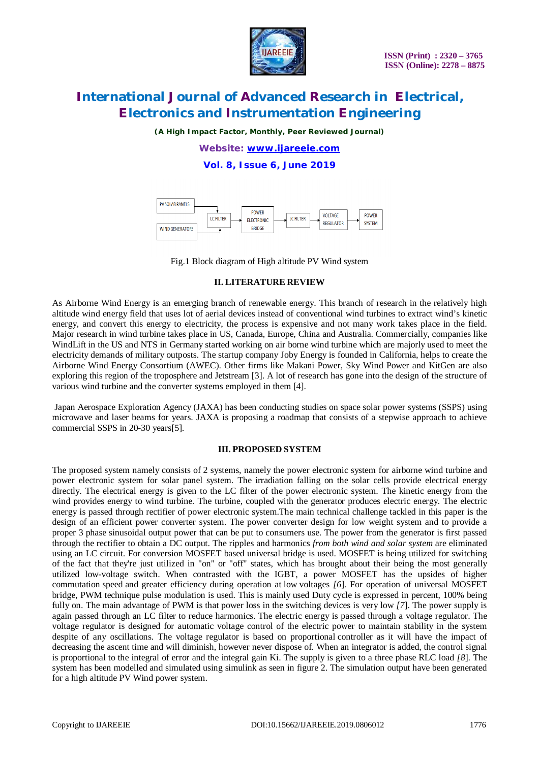

*(A High Impact Factor, Monthly, Peer Reviewed Journal)*

*Website: [www.ijareeie.com](http://www.ijareeie.com)*

**Vol. 8, Issue 6, June 2019**



Fig.1 Block diagram of High altitude PV Wind system

#### **II. LITERATURE REVIEW**

As Airborne Wind Energy is an emerging branch of renewable energy. This branch of research in the relatively high altitude wind energy field that uses lot of aerial devices instead of conventional wind turbines to extract wind's kinetic energy, and convert this energy to electricity, the process is expensive and not many work takes place in the field. Major research in wind turbine takes place in US, Canada, Europe, China and Australia. Commercially, companies like WindLift in the US and NTS in Germany started working on air borne wind turbine which are majorly used to meet the electricity demands of military outposts. The startup company Joby Energy is founded in California, helps to create the Airborne Wind Energy Consortium (AWEC). Other firms like Makani Power, Sky Wind Power and KitGen are also exploring this region of the troposphere and Jetstream [3]. A lot of research has gone into the design of the structure of various wind turbine and the converter systems employed in them [4].

Japan Aerospace Exploration Agency (JAXA) has been conducting studies on space solar power systems (SSPS) using microwave and laser beams for years. JAXA is proposing a roadmap that consists of a stepwise approach to achieve commercial SSPS in 20-30 years[5].

#### **III. PROPOSED SYSTEM**

The proposed system namely consists of 2 systems, namely the power electronic system for airborne wind turbine and power electronic system for solar panel system. The irradiation falling on the solar cells provide electrical energy directly. The electrical energy is given to the LC filter of the power electronic system. The kinetic energy from the wind provides energy to wind turbine. The turbine, coupled with the generator produces electric energy. The electric energy is passed through rectifier of power electronic system.The main technical challenge tackled in this paper is the design of an efficient power converter system. The power converter design for low weight system and to provide a proper 3 phase sinusoidal output power that can be put to consumers use. The power from the generator is first passed through the rectifier to obtain a DC output. The ripples and harmonics *from both wind and solar system* are eliminated using an LC circuit. For conversion MOSFET based universal bridge is used. MOSFET is being utilized for switching of the fact that they're just utilized in "on" or "off" states, which has brought about their being the most generally utilized low-voltage switch. When contrasted with the IGBT, a power MOSFET has the upsides of higher commutation speed and greater efficiency during operation at low voltages *[6*]. For operation of universal MOSFET bridge, PWM technique pulse modulation is used. This is mainly used Duty cycle is expressed in percent, 100% being fully on. The main advantage of PWM is that power loss in the switching devices is very low *[7*]. The power supply is again passed through an LC filter to reduce harmonics. The electric energy is passed through a voltage regulator. The voltage regulator is designed for automatic voltage control of the electric power to maintain stability in the system despite of any oscillations. The voltage regulator is based on proportional controller as it will have the impact of decreasing the ascent time and will diminish, however never dispose of. When an integrator is added, the control signal is proportional to the integral of error and the integral gain Ki. The supply is given to a three phase RLC load *[8*]. The system has been modelled and simulated using simulink as seen in figure 2. The simulation output have been generated for a high altitude PV Wind power system.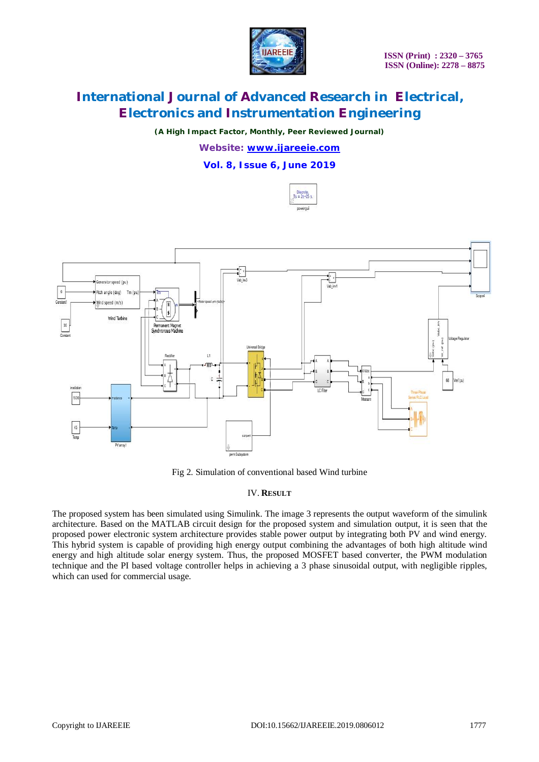

*(A High Impact Factor, Monthly, Peer Reviewed Journal)*

*Website: [www.ijareeie.com](http://www.ijareeie.com)*

**Vol. 8, Issue 6, June 2019**





Fig 2. Simulation of conventional based Wind turbine

### IV. **RESULT**

The proposed system has been simulated using Simulink. The image 3 represents the output waveform of the simulink architecture. Based on the MATLAB circuit design for the proposed system and simulation output, it is seen that the proposed power electronic system architecture provides stable power output by integrating both PV and wind energy. This hybrid system is capable of providing high energy output combining the advantages of both high altitude wind energy and high altitude solar energy system. Thus, the proposed MOSFET based converter, the PWM modulation technique and the PI based voltage controller helps in achieving a 3 phase sinusoidal output, with negligible ripples, which can used for commercial usage.